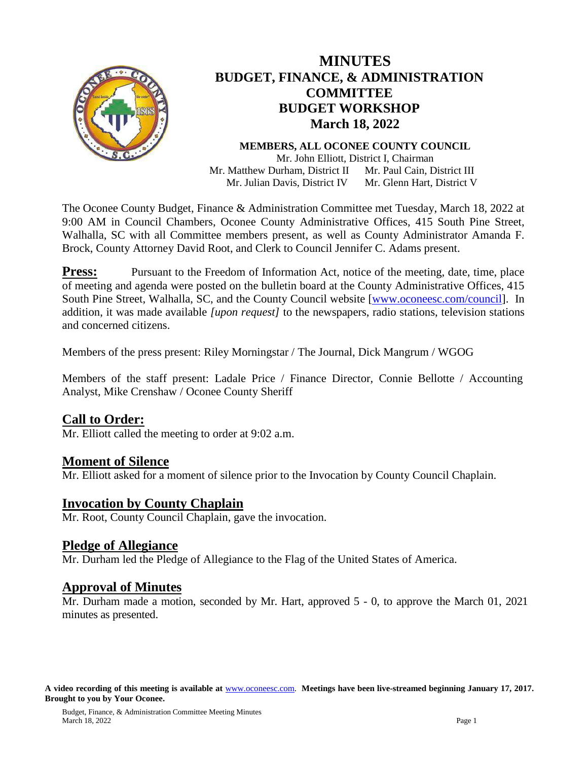

# **MINUTES BUDGET, FINANCE, & ADMINISTRATION COMMITTEE BUDGET WORKSHOP March 18, 2022**

#### **MEMBERS, ALL OCONEE COUNTY COUNCIL** Mr. John Elliott, District I, Chairman Mr. Matthew Durham, District II Mr. Paul Cain, District III

 Mr. Julian Davis, District IV Mr. Glenn Hart, District V

The Oconee County Budget, Finance & Administration Committee met Tuesday, March 18, 2022 at 9:00 AM in Council Chambers, Oconee County Administrative Offices, 415 South Pine Street, Walhalla, SC with all Committee members present, as well as County Administrator Amanda F. Brock, County Attorney David Root, and Clerk to Council Jennifer C. Adams present.

**Press:** Pursuant to the Freedom of Information Act, notice of the meeting, date, time, place of meeting and agenda were posted on the bulletin board at the County Administrative Offices, 415 South Pine Street, Walhalla, SC, and the County Council website [\[www.oconeesc.com/council\]](http://www.oconeesc.com/council). In addition, it was made available *[upon request]* to the newspapers, radio stations, television stations and concerned citizens.

Members of the press present: Riley Morningstar / The Journal, Dick Mangrum / WGOG

Members of the staff present: Ladale Price / Finance Director, Connie Bellotte / Accounting Analyst, Mike Crenshaw / Oconee County Sheriff

# **Call to Order:**

Mr. Elliott called the meeting to order at 9:02 a.m.

### **Moment of Silence**

Mr. Elliott asked for a moment of silence prior to the Invocation by County Council Chaplain.

### **Invocation by County Chaplain**

Mr. Root, County Council Chaplain, gave the invocation.

### **Pledge of Allegiance**

Mr. Durham led the Pledge of Allegiance to the Flag of the United States of America.

### **Approval of Minutes**

Mr. Durham made a motion, seconded by Mr. Hart, approved 5 - 0, to approve the March 01, 2021 minutes as presented.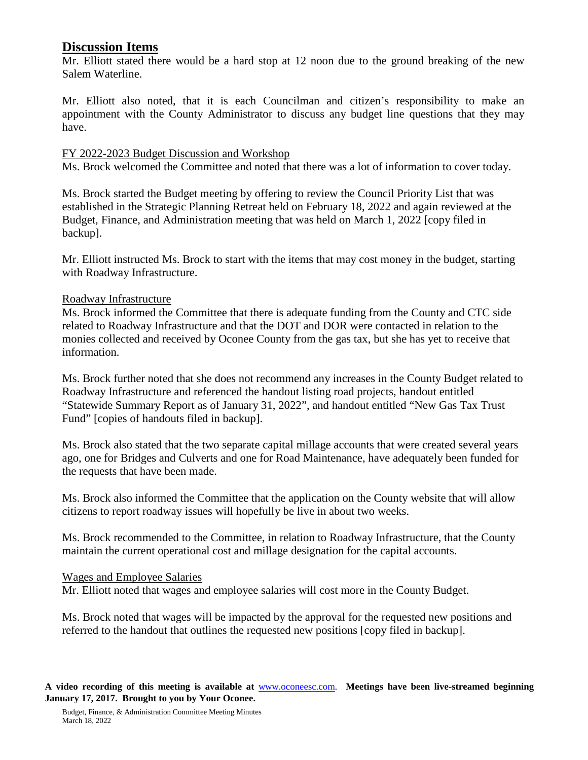## **Discussion Items**

Mr. Elliott stated there would be a hard stop at 12 noon due to the ground breaking of the new Salem Waterline.

Mr. Elliott also noted, that it is each Councilman and citizen's responsibility to make an appointment with the County Administrator to discuss any budget line questions that they may have.

#### FY 2022-2023 Budget Discussion and Workshop

Ms. Brock welcomed the Committee and noted that there was a lot of information to cover today.

Ms. Brock started the Budget meeting by offering to review the Council Priority List that was established in the Strategic Planning Retreat held on February 18, 2022 and again reviewed at the Budget, Finance, and Administration meeting that was held on March 1, 2022 [copy filed in backup].

Mr. Elliott instructed Ms. Brock to start with the items that may cost money in the budget, starting with Roadway Infrastructure.

#### Roadway Infrastructure

Ms. Brock informed the Committee that there is adequate funding from the County and CTC side related to Roadway Infrastructure and that the DOT and DOR were contacted in relation to the monies collected and received by Oconee County from the gas tax, but she has yet to receive that information.

Ms. Brock further noted that she does not recommend any increases in the County Budget related to Roadway Infrastructure and referenced the handout listing road projects, handout entitled "Statewide Summary Report as of January 31, 2022", and handout entitled "New Gas Tax Trust Fund" [copies of handouts filed in backup].

Ms. Brock also stated that the two separate capital millage accounts that were created several years ago, one for Bridges and Culverts and one for Road Maintenance, have adequately been funded for the requests that have been made.

Ms. Brock also informed the Committee that the application on the County website that will allow citizens to report roadway issues will hopefully be live in about two weeks.

Ms. Brock recommended to the Committee, in relation to Roadway Infrastructure, that the County maintain the current operational cost and millage designation for the capital accounts.

#### Wages and Employee Salaries

Mr. Elliott noted that wages and employee salaries will cost more in the County Budget.

Ms. Brock noted that wages will be impacted by the approval for the requested new positions and referred to the handout that outlines the requested new positions [copy filed in backup].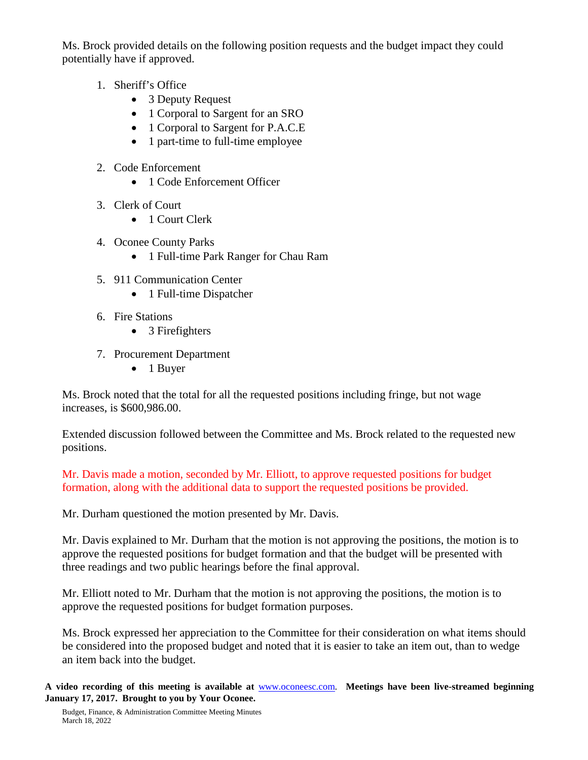Ms. Brock provided details on the following position requests and the budget impact they could potentially have if approved.

- 1. Sheriff's Office
	- 3 Deputy Request
	- 1 Corporal to Sargent for an SRO
	- 1 Corporal to Sargent for P.A.C.E
	- 1 part-time to full-time employee
- 2. Code Enforcement
	- 1 Code Enforcement Officer
- 3. Clerk of Court
	- 1 Court Clerk
- 4. Oconee County Parks
	- 1 Full-time Park Ranger for Chau Ram
- 5. 911 Communication Center
	- 1 Full-time Dispatcher
- 6. Fire Stations
	- 3 Firefighters
- 7. Procurement Department
	- 1 Buyer

Ms. Brock noted that the total for all the requested positions including fringe, but not wage increases, is \$600,986.00.

Extended discussion followed between the Committee and Ms. Brock related to the requested new positions.

Mr. Davis made a motion, seconded by Mr. Elliott, to approve requested positions for budget formation, along with the additional data to support the requested positions be provided.

Mr. Durham questioned the motion presented by Mr. Davis.

Mr. Davis explained to Mr. Durham that the motion is not approving the positions, the motion is to approve the requested positions for budget formation and that the budget will be presented with three readings and two public hearings before the final approval.

Mr. Elliott noted to Mr. Durham that the motion is not approving the positions, the motion is to approve the requested positions for budget formation purposes.

Ms. Brock expressed her appreciation to the Committee for their consideration on what items should be considered into the proposed budget and noted that it is easier to take an item out, than to wedge an item back into the budget.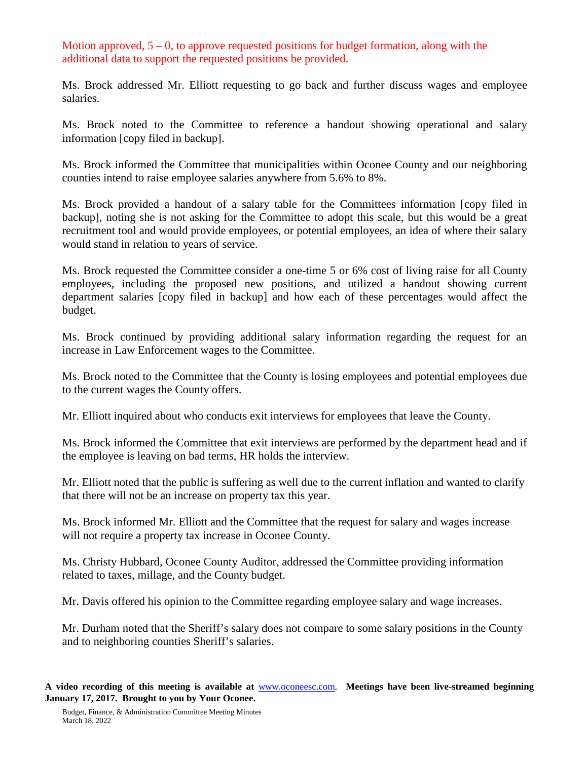Motion approved,  $5 - 0$ , to approve requested positions for budget formation, along with the additional data to support the requested positions be provided.

Ms. Brock addressed Mr. Elliott requesting to go back and further discuss wages and employee salaries.

Ms. Brock noted to the Committee to reference a handout showing operational and salary information [copy filed in backup].

Ms. Brock informed the Committee that municipalities within Oconee County and our neighboring counties intend to raise employee salaries anywhere from 5.6% to 8%.

Ms. Brock provided a handout of a salary table for the Committees information [copy filed in backup], noting she is not asking for the Committee to adopt this scale, but this would be a great recruitment tool and would provide employees, or potential employees, an idea of where their salary would stand in relation to years of service.

Ms. Brock requested the Committee consider a one-time 5 or 6% cost of living raise for all County employees, including the proposed new positions, and utilized a handout showing current department salaries [copy filed in backup] and how each of these percentages would affect the budget.

Ms. Brock continued by providing additional salary information regarding the request for an increase in Law Enforcement wages to the Committee.

Ms. Brock noted to the Committee that the County is losing employees and potential employees due to the current wages the County offers.

Mr. Elliott inquired about who conducts exit interviews for employees that leave the County.

Ms. Brock informed the Committee that exit interviews are performed by the department head and if the employee is leaving on bad terms, HR holds the interview.

Mr. Elliott noted that the public is suffering as well due to the current inflation and wanted to clarify that there will not be an increase on property tax this year.

Ms. Brock informed Mr. Elliott and the Committee that the request for salary and wages increase will not require a property tax increase in Oconee County.

Ms. Christy Hubbard, Oconee County Auditor, addressed the Committee providing information related to taxes, millage, and the County budget.

Mr. Davis offered his opinion to the Committee regarding employee salary and wage increases.

Mr. Durham noted that the Sheriff's salary does not compare to some salary positions in the County and to neighboring counties Sheriff's salaries.

**A video recording of this meeting is available at** [www.oconeesc.com.](http://www.oconeesc.com/) **Meetings have been live-streamed beginning January 17, 2017. Brought to you by Your Oconee.**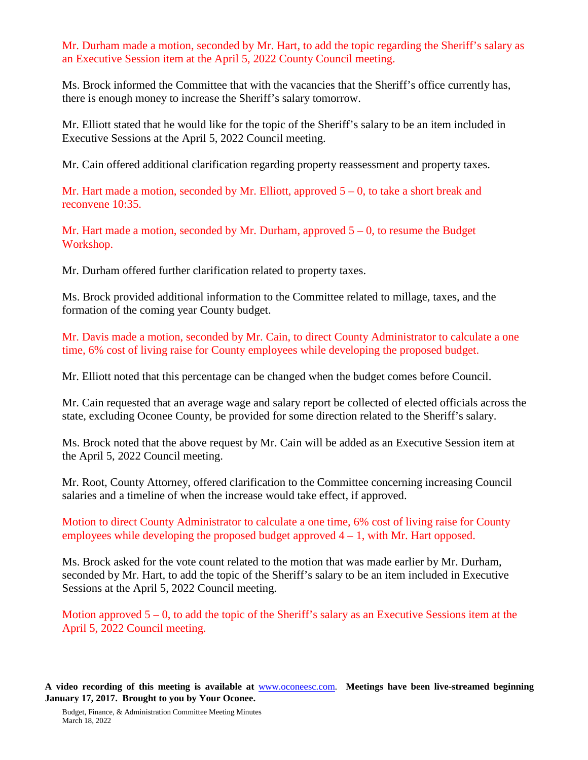Mr. Durham made a motion, seconded by Mr. Hart, to add the topic regarding the Sheriff's salary as an Executive Session item at the April 5, 2022 County Council meeting.

Ms. Brock informed the Committee that with the vacancies that the Sheriff's office currently has, there is enough money to increase the Sheriff's salary tomorrow.

Mr. Elliott stated that he would like for the topic of the Sheriff's salary to be an item included in Executive Sessions at the April 5, 2022 Council meeting.

Mr. Cain offered additional clarification regarding property reassessment and property taxes.

Mr. Hart made a motion, seconded by Mr. Elliott, approved  $5 - 0$ , to take a short break and reconvene 10:35.

Mr. Hart made a motion, seconded by Mr. Durham, approved  $5 - 0$ , to resume the Budget Workshop.

Mr. Durham offered further clarification related to property taxes.

Ms. Brock provided additional information to the Committee related to millage, taxes, and the formation of the coming year County budget.

Mr. Davis made a motion, seconded by Mr. Cain, to direct County Administrator to calculate a one time, 6% cost of living raise for County employees while developing the proposed budget.

Mr. Elliott noted that this percentage can be changed when the budget comes before Council.

Mr. Cain requested that an average wage and salary report be collected of elected officials across the state, excluding Oconee County, be provided for some direction related to the Sheriff's salary.

Ms. Brock noted that the above request by Mr. Cain will be added as an Executive Session item at the April 5, 2022 Council meeting.

Mr. Root, County Attorney, offered clarification to the Committee concerning increasing Council salaries and a timeline of when the increase would take effect, if approved.

Motion to direct County Administrator to calculate a one time, 6% cost of living raise for County employees while developing the proposed budget approved  $4 - 1$ , with Mr. Hart opposed.

Ms. Brock asked for the vote count related to the motion that was made earlier by Mr. Durham, seconded by Mr. Hart, to add the topic of the Sheriff's salary to be an item included in Executive Sessions at the April 5, 2022 Council meeting.

Motion approved  $5 - 0$ , to add the topic of the Sheriff's salary as an Executive Sessions item at the April 5, 2022 Council meeting.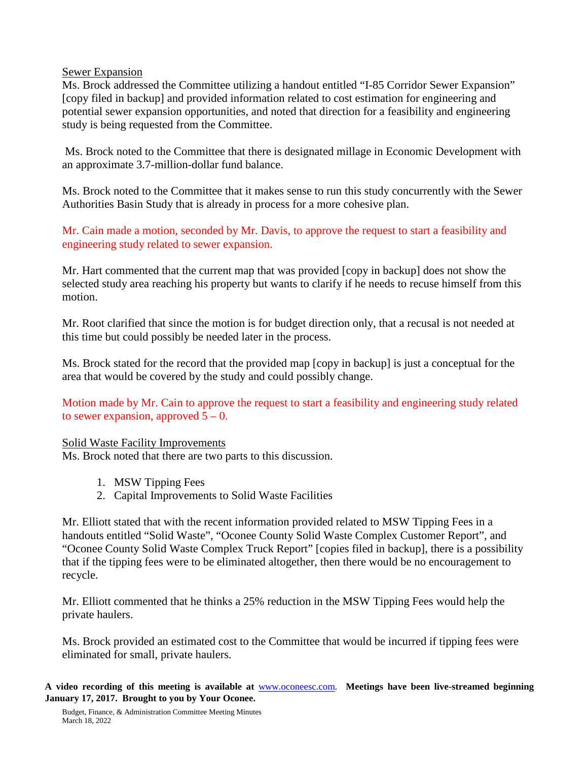#### Sewer Expansion

Ms. Brock addressed the Committee utilizing a handout entitled "I-85 Corridor Sewer Expansion" [copy filed in backup] and provided information related to cost estimation for engineering and potential sewer expansion opportunities, and noted that direction for a feasibility and engineering study is being requested from the Committee.

Ms. Brock noted to the Committee that there is designated millage in Economic Development with an approximate 3.7-million-dollar fund balance.

Ms. Brock noted to the Committee that it makes sense to run this study concurrently with the Sewer Authorities Basin Study that is already in process for a more cohesive plan.

Mr. Cain made a motion, seconded by Mr. Davis, to approve the request to start a feasibility and engineering study related to sewer expansion.

Mr. Hart commented that the current map that was provided [copy in backup] does not show the selected study area reaching his property but wants to clarify if he needs to recuse himself from this motion.

Mr. Root clarified that since the motion is for budget direction only, that a recusal is not needed at this time but could possibly be needed later in the process.

Ms. Brock stated for the record that the provided map [copy in backup] is just a conceptual for the area that would be covered by the study and could possibly change.

Motion made by Mr. Cain to approve the request to start a feasibility and engineering study related to sewer expansion, approved  $5 - 0$ .

### Solid Waste Facility Improvements

Ms. Brock noted that there are two parts to this discussion.

- 1. MSW Tipping Fees
- 2. Capital Improvements to Solid Waste Facilities

Mr. Elliott stated that with the recent information provided related to MSW Tipping Fees in a handouts entitled "Solid Waste", "Oconee County Solid Waste Complex Customer Report", and "Oconee County Solid Waste Complex Truck Report" [copies filed in backup], there is a possibility that if the tipping fees were to be eliminated altogether, then there would be no encouragement to recycle.

Mr. Elliott commented that he thinks a 25% reduction in the MSW Tipping Fees would help the private haulers.

Ms. Brock provided an estimated cost to the Committee that would be incurred if tipping fees were eliminated for small, private haulers.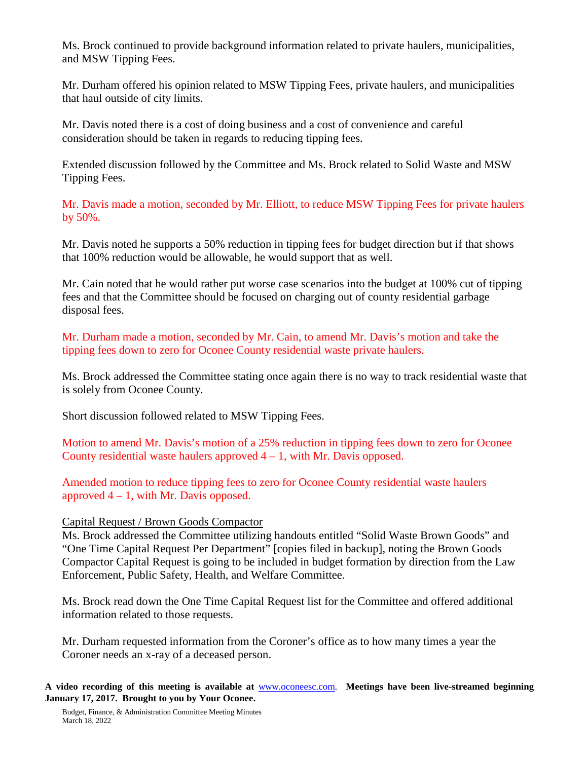Ms. Brock continued to provide background information related to private haulers, municipalities, and MSW Tipping Fees.

Mr. Durham offered his opinion related to MSW Tipping Fees, private haulers, and municipalities that haul outside of city limits.

Mr. Davis noted there is a cost of doing business and a cost of convenience and careful consideration should be taken in regards to reducing tipping fees.

Extended discussion followed by the Committee and Ms. Brock related to Solid Waste and MSW Tipping Fees.

Mr. Davis made a motion, seconded by Mr. Elliott, to reduce MSW Tipping Fees for private haulers by 50%.

Mr. Davis noted he supports a 50% reduction in tipping fees for budget direction but if that shows that 100% reduction would be allowable, he would support that as well.

Mr. Cain noted that he would rather put worse case scenarios into the budget at 100% cut of tipping fees and that the Committee should be focused on charging out of county residential garbage disposal fees.

Mr. Durham made a motion, seconded by Mr. Cain, to amend Mr. Davis's motion and take the tipping fees down to zero for Oconee County residential waste private haulers.

Ms. Brock addressed the Committee stating once again there is no way to track residential waste that is solely from Oconee County.

Short discussion followed related to MSW Tipping Fees.

Motion to amend Mr. Davis's motion of a 25% reduction in tipping fees down to zero for Oconee County residential waste haulers approved  $4 - 1$ , with Mr. Davis opposed.

Amended motion to reduce tipping fees to zero for Oconee County residential waste haulers approved  $4 - 1$ , with Mr. Davis opposed.

### Capital Request / Brown Goods Compactor

Ms. Brock addressed the Committee utilizing handouts entitled "Solid Waste Brown Goods" and "One Time Capital Request Per Department" [copies filed in backup], noting the Brown Goods Compactor Capital Request is going to be included in budget formation by direction from the Law Enforcement, Public Safety, Health, and Welfare Committee.

Ms. Brock read down the One Time Capital Request list for the Committee and offered additional information related to those requests.

Mr. Durham requested information from the Coroner's office as to how many times a year the Coroner needs an x-ray of a deceased person.